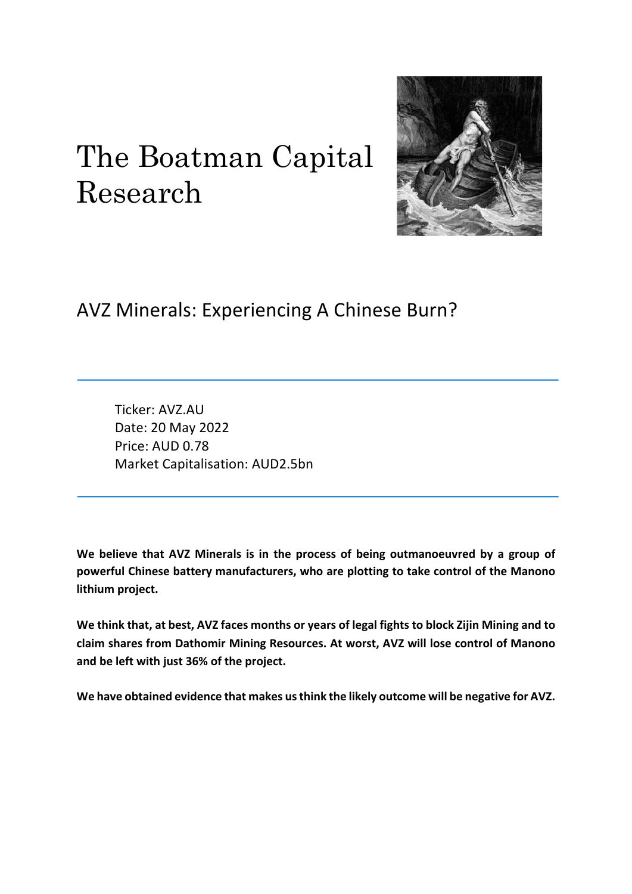# The Boatman Capital Research



## AVZ Minerals: Experiencing A Chinese Burn?

Ticker: AVZ.AU Date: 20 May 2022 Price: AUD 0.78 Market Capitalisation: AUD2.5bn

**We believe that AVZ Minerals is in the process of being outmanoeuvred by a group of powerful Chinese battery manufacturers, who are plotting to take control of the Manono lithium project.**

**We think that, at best, AVZ faces months or years of legal fights to block Zijin Mining and to claim shares from Dathomir Mining Resources. At worst, AVZ will lose control of Manono and be left with just 36% of the project.**

**We have obtained evidence that makes us think the likely outcome will be negative for AVZ.**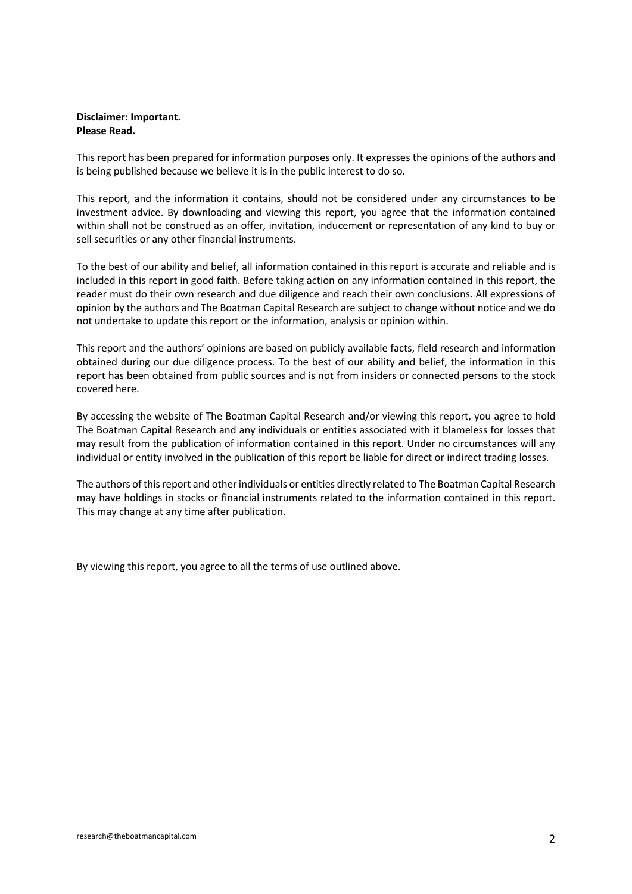#### **Disclaimer: Important. Please Read.**

This report has been prepared for information purposes only. It expresses the opinions of the authors and is being published because we believe it is in the public interest to do so.

This report, and the information it contains, should not be considered under any circumstances to be investment advice. By downloading and viewing this report, you agree that the information contained within shall not be construed as an offer, invitation, inducement or representation of any kind to buy or sell securities or any other financial instruments.

To the best of our ability and belief, all information contained in this report is accurate and reliable and is included in this report in good faith. Before taking action on any information contained in this report, the reader must do their own research and due diligence and reach their own conclusions. All expressions of opinion by the authors and The Boatman Capital Research are subject to change without notice and we do not undertake to update this report or the information, analysis or opinion within.

This report and the authors' opinions are based on publicly available facts, field research and information obtained during our due diligence process. To the best of our ability and belief, the information in this report has been obtained from public sources and is not from insiders or connected persons to the stock covered here.

By accessing the website of The Boatman Capital Research and/or viewing this report, you agree to hold The Boatman Capital Research and any individuals or entities associated with it blameless for losses that may result from the publication of information contained in this report. Under no circumstances will any individual or entity involved in the publication of this report be liable for direct or indirect trading losses.

The authors of this report and other individuals or entities directly related to The Boatman Capital Research may have holdings in stocks or financial instruments related to the information contained in this report. This may change at any time after publication.

By viewing this report, you agree to all the terms of use outlined above.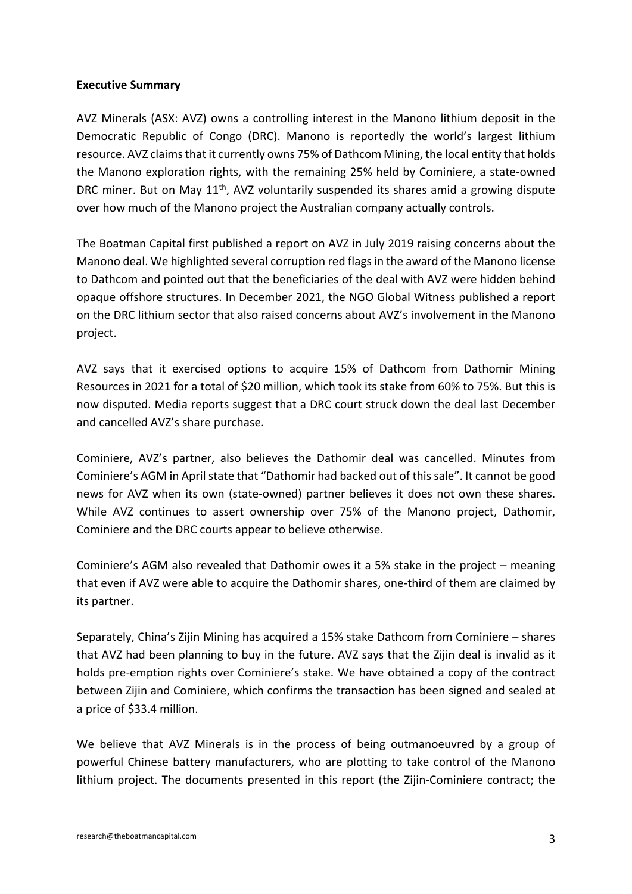#### **Executive Summary**

AVZ Minerals (ASX: AVZ) owns a controlling interest in the Manono lithium deposit in the Democratic Republic of Congo (DRC). Manono is reportedly the world's largest lithium resource. AVZ claims that it currently owns 75% of Dathcom Mining, the local entity that holds the Manono exploration rights, with the remaining 25% held by Cominiere, a state-owned DRC miner. But on May 11<sup>th</sup>, AVZ voluntarily suspended its shares amid a growing dispute over how much of the Manono project the Australian company actually controls.

The Boatman Capital first published a report on AVZ in July 2019 raising concerns about the Manono deal. We highlighted several corruption red flags in the award of the Manono license to Dathcom and pointed out that the beneficiaries of the deal with AVZ were hidden behind opaque offshore structures. In December 2021, the NGO Global Witness published a report on the DRC lithium sector that also raised concerns about AVZ's involvement in the Manono project.

AVZ says that it exercised options to acquire 15% of Dathcom from Dathomir Mining Resources in 2021 for a total of \$20 million, which took its stake from 60% to 75%. But this is now disputed. Media reports suggest that a DRC court struck down the deal last December and cancelled AVZ's share purchase.

Cominiere, AVZ's partner, also believes the Dathomir deal was cancelled. Minutes from Cominiere's AGM in April state that "Dathomir had backed out of this sale". It cannot be good news for AVZ when its own (state-owned) partner believes it does not own these shares. While AVZ continues to assert ownership over 75% of the Manono project, Dathomir, Cominiere and the DRC courts appear to believe otherwise.

Cominiere's AGM also revealed that Dathomir owes it a 5% stake in the project – meaning that even if AVZ were able to acquire the Dathomir shares, one-third of them are claimed by its partner.

Separately, China's Zijin Mining has acquired a 15% stake Dathcom from Cominiere – shares that AVZ had been planning to buy in the future. AVZ says that the Zijin deal is invalid as it holds pre-emption rights over Cominiere's stake. We have obtained a copy of the contract between Zijin and Cominiere, which confirms the transaction has been signed and sealed at a price of \$33.4 million.

We believe that AVZ Minerals is in the process of being outmanoeuvred by a group of powerful Chinese battery manufacturers, who are plotting to take control of the Manono lithium project. The documents presented in this report (the Zijin-Cominiere contract; the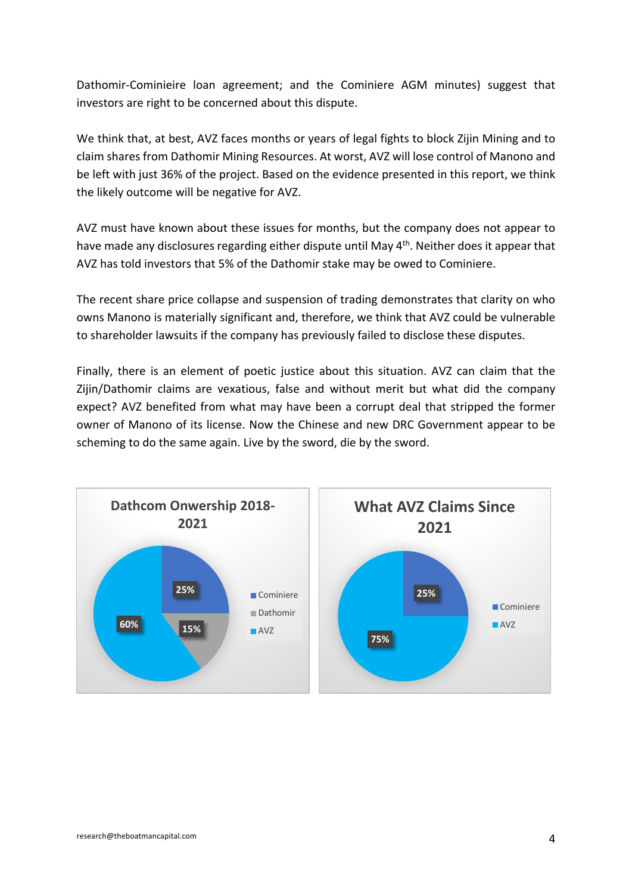Dathomir-Cominieire loan agreement; and the Cominiere AGM minutes) suggest that investors are right to be concerned about this dispute.

We think that, at best, AVZ faces months or years of legal fights to block Zijin Mining and to claim shares from Dathomir Mining Resources. At worst, AVZ will lose control of Manono and be left with just 36% of the project. Based on the evidence presented in this report, we think the likely outcome will be negative for AVZ.

AVZ must have known about these issues for months, but the company does not appear to have made any disclosures regarding either dispute until May 4<sup>th</sup>. Neither does it appear that AVZ has told investors that 5% of the Dathomir stake may be owed to Cominiere.

The recent share price collapse and suspension of trading demonstrates that clarity on who owns Manono is materially significant and, therefore, we think that AVZ could be vulnerable to shareholder lawsuits if the company has previously failed to disclose these disputes.

Finally, there is an element of poetic justice about this situation. AVZ can claim that the Zijin/Dathomir claims are vexatious, false and without merit but what did the company expect? AVZ benefited from what may have been a corrupt deal that stripped the former owner of Manono of its license. Now the Chinese and new DRC Government appear to be scheming to do the same again. Live by the sword, die by the sword.

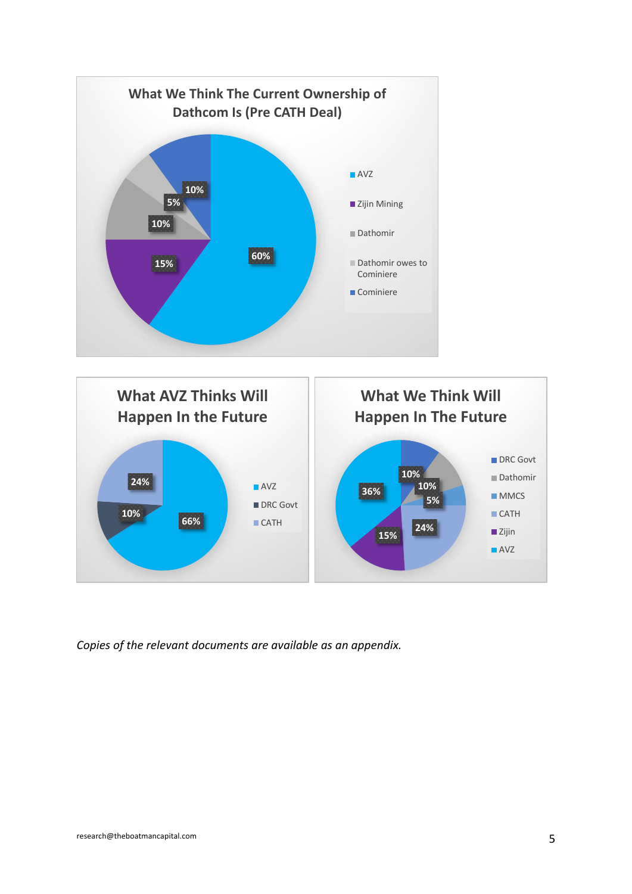

*Copies of the relevant documents are available as an appendix.*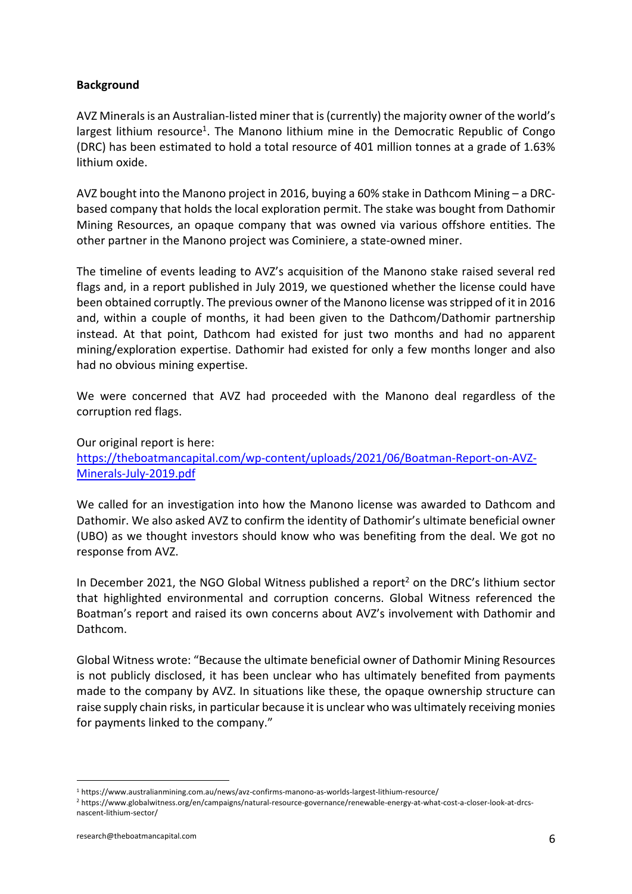#### **Background**

AVZ Minerals is an Australian-listed miner that is (currently) the majority owner of the world's largest lithium resource<sup>1</sup>. The Manono lithium mine in the Democratic Republic of Congo (DRC) has been estimated to hold a total resource of 401 million tonnes at a grade of 1.63% lithium oxide.

AVZ bought into the Manono project in 2016, buying a 60% stake in Dathcom Mining – a DRCbased company that holds the local exploration permit. The stake was bought from Dathomir Mining Resources, an opaque company that was owned via various offshore entities. The other partner in the Manono project was Cominiere, a state-owned miner.

The timeline of events leading to AVZ's acquisition of the Manono stake raised several red flags and, in a report published in July 2019, we questioned whether the license could have been obtained corruptly. The previous owner of the Manono license was stripped of it in 2016 and, within a couple of months, it had been given to the Dathcom/Dathomir partnership instead. At that point, Dathcom had existed for just two months and had no apparent mining/exploration expertise. Dathomir had existed for only a few months longer and also had no obvious mining expertise.

We were concerned that AVZ had proceeded with the Manono deal regardless of the corruption red flags.

Our original report is here: https://theboatmancapital.com/wp-content/uploads/2021/06/Boatman-Report-on-AVZ-Minerals-July-2019.pdf

We called for an investigation into how the Manono license was awarded to Dathcom and Dathomir. We also asked AVZ to confirm the identity of Dathomir's ultimate beneficial owner (UBO) as we thought investors should know who was benefiting from the deal. We got no response from AVZ.

In December 2021, the NGO Global Witness published a report<sup>2</sup> on the DRC's lithium sector that highlighted environmental and corruption concerns. Global Witness referenced the Boatman's report and raised its own concerns about AVZ's involvement with Dathomir and Dathcom.

Global Witness wrote: "Because the ultimate beneficial owner of Dathomir Mining Resources is not publicly disclosed, it has been unclear who has ultimately benefited from payments made to the company by AVZ. In situations like these, the opaque ownership structure can raise supply chain risks, in particular because it is unclear who was ultimately receiving monies for payments linked to the company."

<sup>1</sup> https://www.australianmining.com.au/news/avz-confirms-manono-as-worlds-largest-lithium-resource/

<sup>2</sup> https://www.globalwitness.org/en/campaigns/natural-resource-governance/renewable-energy-at-what-cost-a-closer-look-at-drcsnascent-lithium-sector/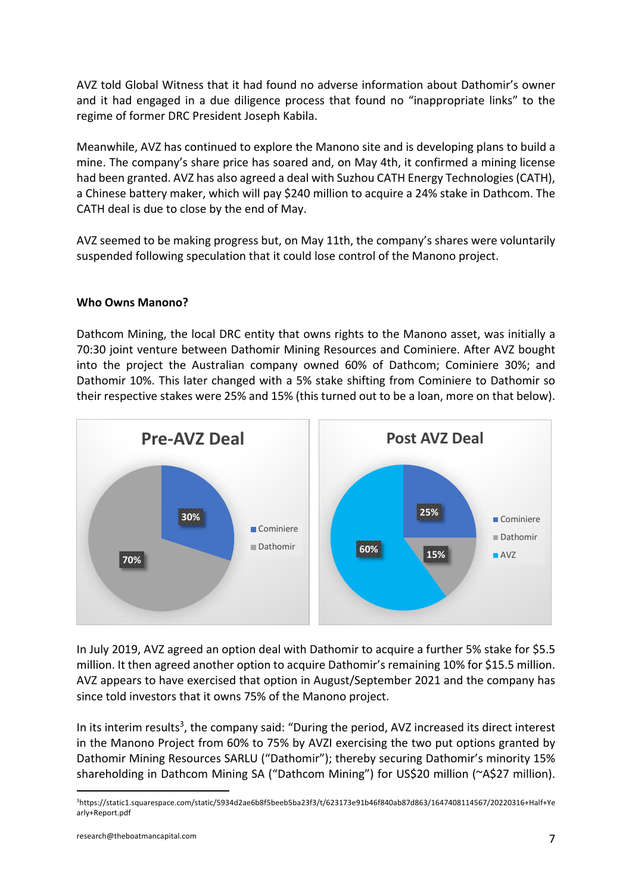AVZ told Global Witness that it had found no adverse information about Dathomir's owner and it had engaged in a due diligence process that found no "inappropriate links" to the regime of former DRC President Joseph Kabila.

Meanwhile, AVZ has continued to explore the Manono site and is developing plans to build a mine. The company's share price has soared and, on May 4th, it confirmed a mining license had been granted. AVZ has also agreed a deal with Suzhou CATH Energy Technologies (CATH), a Chinese battery maker, which will pay \$240 million to acquire a 24% stake in Dathcom. The CATH deal is due to close by the end of May.

AVZ seemed to be making progress but, on May 11th, the company's shares were voluntarily suspended following speculation that it could lose control of the Manono project.

#### **Who Owns Manono?**

Dathcom Mining, the local DRC entity that owns rights to the Manono asset, was initially a 70:30 joint venture between Dathomir Mining Resources and Cominiere. After AVZ bought into the project the Australian company owned 60% of Dathcom; Cominiere 30%; and Dathomir 10%. This later changed with a 5% stake shifting from Cominiere to Dathomir so their respective stakes were 25% and 15% (this turned out to be a loan, more on that below).



In July 2019, AVZ agreed an option deal with Dathomir to acquire a further 5% stake for \$5.5 million. It then agreed another option to acquire Dathomir's remaining 10% for \$15.5 million. AVZ appears to have exercised that option in August/September 2021 and the company has since told investors that it owns 75% of the Manono project.

In its interim results<sup>3</sup>, the company said: "During the period, AVZ increased its direct interest in the Manono Project from 60% to 75% by AVZI exercising the two put options granted by Dathomir Mining Resources SARLU ("Dathomir"); thereby securing Dathomir's minority 15% shareholding in Dathcom Mining SA ("Dathcom Mining") for US\$20 million (~A\$27 million).

<sup>3</sup>https://static1.squarespace.com/static/5934d2ae6b8f5beeb5ba23f3/t/623173e91b46f840ab87d863/1647408114567/20220316+Half+Ye arly+Report.pdf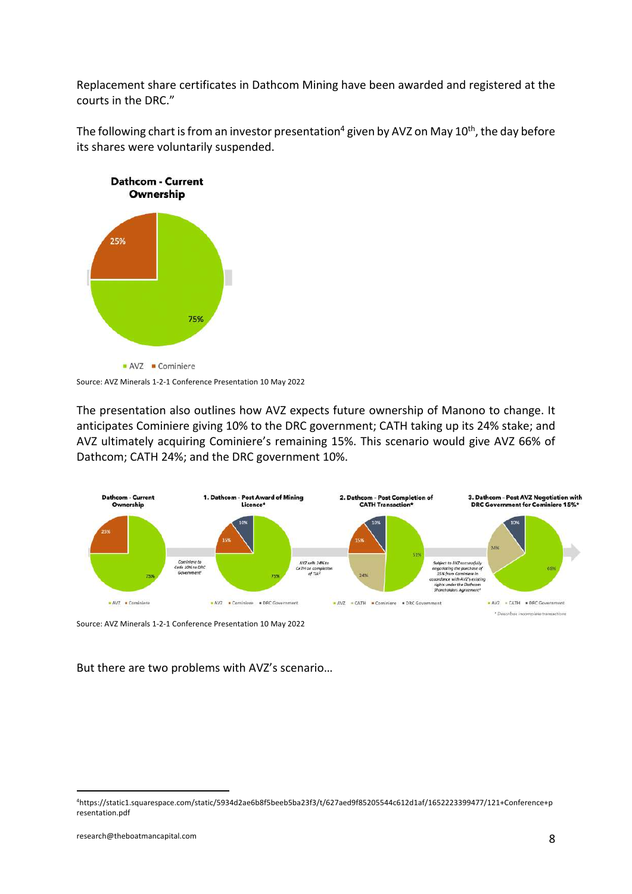Replacement share certificates in Dathcom Mining have been awarded and registered at the courts in the DRC."

The following chart is from an investor presentation<sup>4</sup> given by AVZ on May  $10<sup>th</sup>$ , the day before its shares were voluntarily suspended.



Source: AVZ Minerals 1-2-1 Conference Presentation 10 May 2022

The presentation also outlines how AVZ expects future ownership of Manono to change. It anticipates Cominiere giving 10% to the DRC government; CATH taking up its 24% stake; and AVZ ultimately acquiring Cominiere's remaining 15%. This scenario would give AVZ 66% of Dathcom; CATH 24%; and the DRC government 10%.



Source: AVZ Minerals 1-2-1 Conference Presentation 10 May 2022

But there are two problems with AVZ's scenario…

<sup>4</sup>https://static1.squarespace.com/static/5934d2ae6b8f5beeb5ba23f3/t/627aed9f85205544c612d1af/1652223399477/121+Conference+p resentation.pdf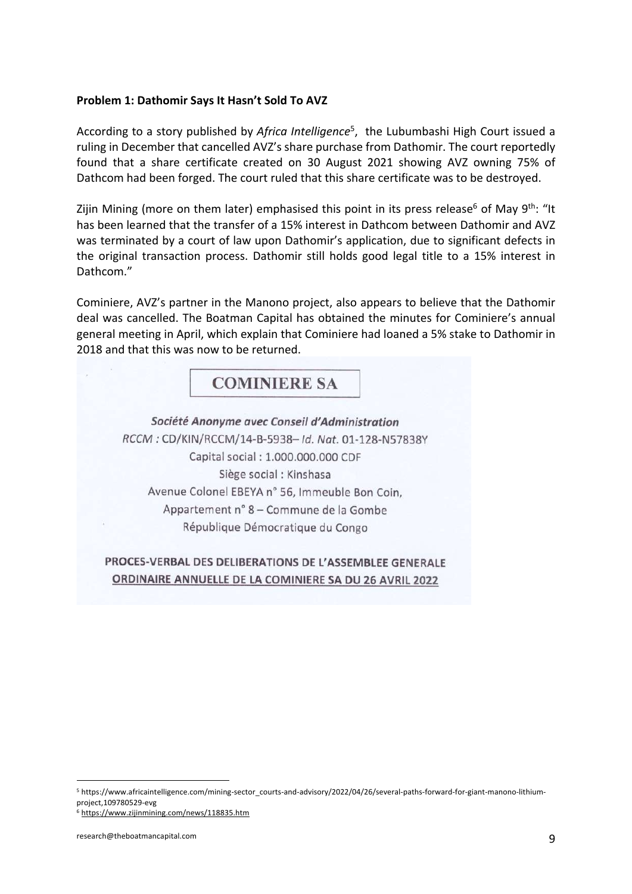#### **Problem 1: Dathomir Says It Hasn't Sold To AVZ**

According to a story published by *Africa Intelligence*<sup>5</sup> , the Lubumbashi High Court issued a ruling in December that cancelled AVZ's share purchase from Dathomir. The court reportedly found that a share certificate created on 30 August 2021 showing AVZ owning 75% of Dathcom had been forged. The court ruled that this share certificate was to be destroyed.

Zijin Mining (more on them later) emphasised this point in its press release<sup>6</sup> of May 9<sup>th</sup>: "It has been learned that the transfer of a 15% interest in Dathcom between Dathomir and AVZ was terminated by a court of law upon Dathomir's application, due to significant defects in the original transaction process. Dathomir still holds good legal title to a 15% interest in Dathcom."

Cominiere, AVZ's partner in the Manono project, also appears to believe that the Dathomir deal was cancelled. The Boatman Capital has obtained the minutes for Cominiere's annual general meeting in April, which explain that Cominiere had loaned a 5% stake to Dathomir in 2018 and that this was now to be returned.

### **COMINIERE SA**

Société Anonyme avec Conseil d'Administration RCCM: CD/KIN/RCCM/14-B-5938- Id. Nat. 01-128-N57838Y Capital social: 1.000.000.000 CDF Siège social : Kinshasa Avenue Colonel EBEYA nº 56, Immeuble Bon Coin, Appartement n° 8 - Commune de la Gombe République Démocratique du Congo

### PROCES-VERBAL DES DELIBERATIONS DE L'ASSEMBLEE GENERALE ORDINAIRE ANNUELLE DE LA COMINIERE SA DU 26 AVRIL 2022

<sup>5</sup> https://www.africaintelligence.com/mining-sector\_courts-and-advisory/2022/04/26/several-paths-forward-for-giant-manono-lithiumproject,109780529-evg

<sup>6</sup> https://www.zijinmining.com/news/118835.htm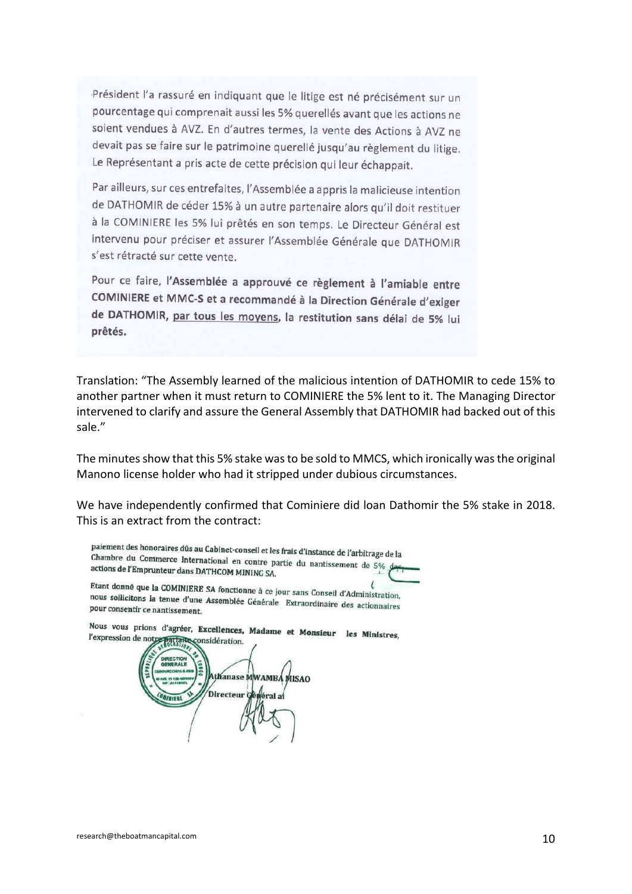Président l'a rassuré en indiquant que le litige est né précisément sur un pourcentage qui comprenait aussi les 5% querellés avant que les actions ne soient vendues à AVZ. En d'autres termes, la vente des Actions à AVZ ne devait pas se faire sur le patrimoine querellé jusqu'au règlement du litige. Le Représentant a pris acte de cette précision qui leur échappait.

Par ailleurs, sur ces entrefaites, l'Assemblée a appris la malicieuse intention de DATHOMIR de céder 15% à un autre partenaire alors qu'il doit restituer à la COMINIERE les 5% lui prêtés en son temps. Le Directeur Général est intervenu pour préciser et assurer l'Assemblée Générale que DATHOMIR s'est rétracté sur cette vente.

Pour ce faire, l'Assemblée a approuvé ce règlement à l'amiable entre COMINIERE et MMC-S et a recommandé à la Direction Générale d'exiger de DATHOMIR, par tous les moyens, la restitution sans délai de 5% lui prêtés.

Translation: "The Assembly learned of the malicious intention of DATHOMIR to cede 15% to another partner when it must return to COMINIERE the 5% lent to it. The Managing Director intervened to clarify and assure the General Assembly that DATHOMIR had backed out of this sale."

The minutes show that this 5% stake was to be sold to MMCS, which ironically was the original Manono license holder who had it stripped under dubious circumstances.

We have independently confirmed that Cominiere did loan Dathomir the 5% stake in 2018. This is an extract from the contract:

paiement des honoraires dûs au Cabinet-conseil et les frais d'instance de l'arbitrage de la<br>Chambre, du Commerce, International Chambre du Commerce International en contre partie du nantissement de 5%<br>actions de l'Empruntaur dans DATUCOM MINIME partie du nantissement de 5% actions de l'Emprunteur dans DATHCOM MINING SA. Etant donné que la COMINIERE SA fonctionne à ce jour sans Conseil d'Administration, nous sollicitons la tenue d'une Assemblée Générale Extraordinaire des actionnaires<br>pour consentir ce nantissement pour consentir ce nantissement. Nous vous prions d'agréer, Excellences, Madame et Monsieur les Ministres,

l'expression de not PartaRe considération. thanase MWAMBA MISAO Directeur G **FILE**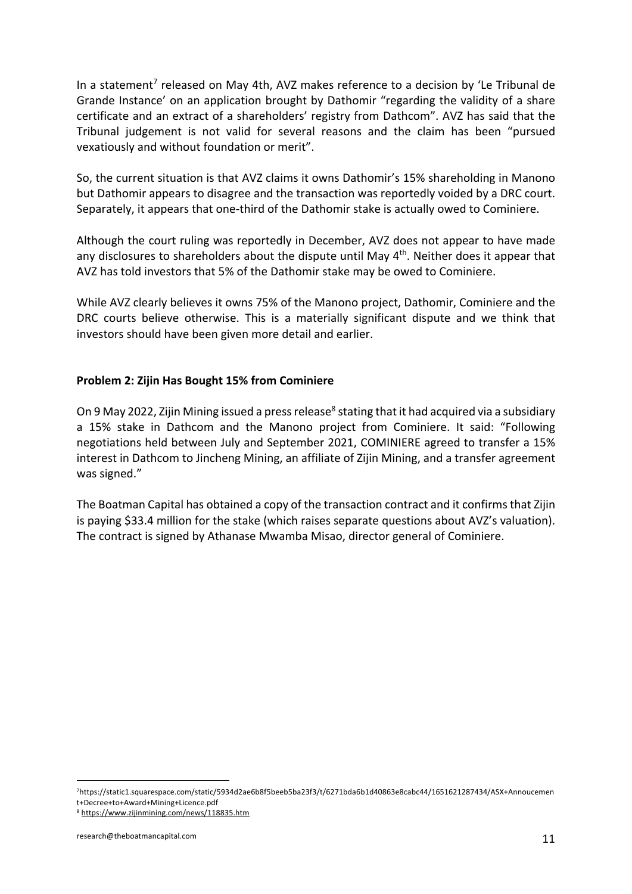In a statement<sup>7</sup> released on May 4th, AVZ makes reference to a decision by 'Le Tribunal de Grande Instance' on an application brought by Dathomir "regarding the validity of a share certificate and an extract of a shareholders' registry from Dathcom". AVZ has said that the Tribunal judgement is not valid for several reasons and the claim has been "pursued vexatiously and without foundation or merit".

So, the current situation is that AVZ claims it owns Dathomir's 15% shareholding in Manono but Dathomir appears to disagree and the transaction was reportedly voided by a DRC court. Separately, it appears that one-third of the Dathomir stake is actually owed to Cominiere.

Although the court ruling was reportedly in December, AVZ does not appear to have made any disclosures to shareholders about the dispute until May  $4<sup>th</sup>$ . Neither does it appear that AVZ has told investors that 5% of the Dathomir stake may be owed to Cominiere.

While AVZ clearly believes it owns 75% of the Manono project, Dathomir, Cominiere and the DRC courts believe otherwise. This is a materially significant dispute and we think that investors should have been given more detail and earlier.

#### **Problem 2: Zijin Has Bought 15% from Cominiere**

On 9 May 2022, Zijin Mining issued a press release<sup>8</sup> stating that it had acquired via a subsidiary a 15% stake in Dathcom and the Manono project from Cominiere. It said: "Following negotiations held between July and September 2021, COMINIERE agreed to transfer a 15% interest in Dathcom to Jincheng Mining, an affiliate of Zijin Mining, and a transfer agreement was signed."

The Boatman Capital has obtained a copy of the transaction contract and it confirms that Zijin is paying \$33.4 million for the stake (which raises separate questions about AVZ's valuation). The contract is signed by Athanase Mwamba Misao, director general of Cominiere.

<sup>7</sup>https://static1.squarespace.com/static/5934d2ae6b8f5beeb5ba23f3/t/6271bda6b1d40863e8cabc44/1651621287434/ASX+Annoucemen t+Decree+to+Award+Mining+Licence.pdf

<sup>8</sup> https://www.zijinmining.com/news/118835.htm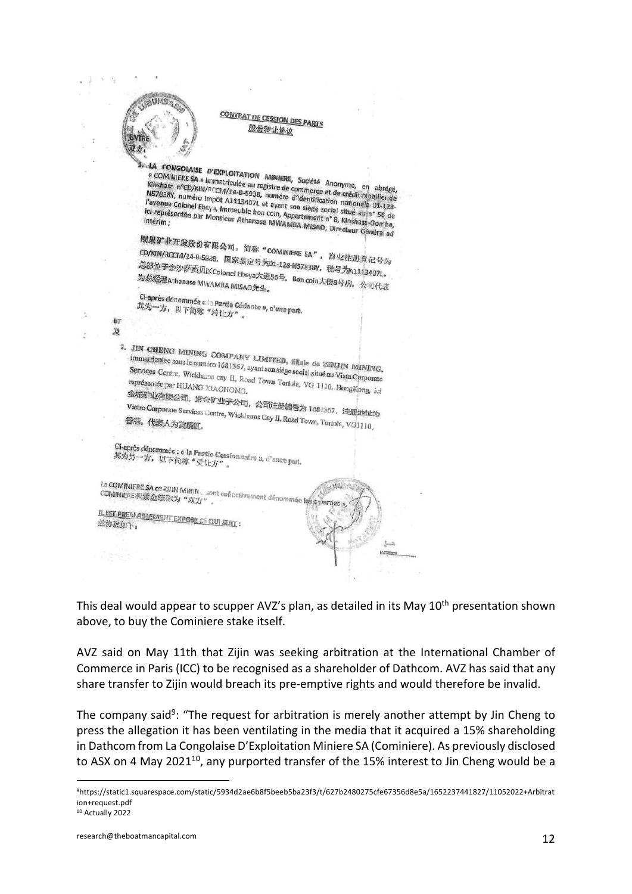#### **COMTRAT DE CESSION DES PARTS** 股份转让协议



ET

CONGOLAISE D'EXPLOITATION MINIERE, Société Anonyme, en abrégé,<br>OMINIERE SA » Immetriculée au registre de commerce et de crédit-mobile.<br>838Y DUCALLYBOCM/14-B-5938, Bumées Commerce et de crédit-mobile. **LA CONGOLAISE D'EXPLOITATION MINIERE, Société Anonyme, en abrégé,<br>Kinshasa n°CD/KIN/RCCM/14-B-5938, numéro d'identification de crédit-mobilier de<br>N57838Y, numéro Impôt A1113407L et augst d'identification nationale 03 1-de** "COMINIERE SA » liametriculée au registre de commerce et de crédit mobrégé,<br>Misshasa n°CD/KIN/RCCM/14-B-5938, numéro d'identification nationalitier de<br>Payenue Colonel Ebeya, huméro d'identification nationale de l'avenue Co **KINShasa n°CD/KIN/RCCM/14-B-9938, numéro d'identification nationale du registre de commerce et de crédit mobilier de<br>l'avenue Colonel Ebeys, Immeuble bon coin, Appartent de la crédit mobilier de<br>le représentée par Monsie** Navada N. numéro Impôt A1113407L et ayant son siège social situéne de l'avenue Colonel Ebeys, Immeuble bon coin, Appartement n° 8, Kinshas-Gonbe, Internet in the little and the presented par Monsieur Athanase MWAMBA MisaO, ravenue Colonel Ebeys, Immeuble bon coin, Appartement n° 8, Kinshase-Gombe, Intézim, 2011, 28. El intézim, 2011, 28. El intézim, 2011, 28. El intézim, 2012, 2012, 2012, 2012, 2012, 2012, 2012, 2012, 2012, 2012, 2012, 2012,

刚果矿业开发股份有限公司,简称"COMINIERE SA",商业注册登记号为<br>CD/KIN/RCCM/14-B-5938,国家签定号为01-128-N5783RV,商业注册登记号为 为总经理Athanase MWAMBA MISAO先生。

Ci-après dénommée c / partie Cédante », d'une part.<br>共为一方,以下简称"转让方" 其为一方, 以下简称"转让方"。

及 2. JIN CHENG MINING COMPANY LIMITED, filiale de ZINJIN MINING,<br>immatriculée sous le numéro 1681367, ayant son siège social situé en Vietne Services Centre. Wickham immatriculée sous le numéro 1681367, ayant son siège social situé au Vista Corporate<br>Services Centre, Wickhams cay II, Road Town Tortola. VG 1110, IT. The représentée nat VIIANO, Services Centre, Wickhame cay II, Road Town Tortola, VG 1110, Hongkong, ici représentée par HUANG XIAOHONG. tradition par HUANG XIAOHONG.<br>金城町业有限公司,紫金矿业子公司,公司注册编号为 1681367,注册地址为<br>Vistra Corporate Services Centre, Wickhams Cay II, Road Tour, T. Vistra Corporate Services Centre, Wickhams Cay II, Road Town, Tortola, VG1110,

### Ci-après dénommée : « la Partie Cessionnaire », d'autre part.<br>其为另一方,以下简称"受让方"。 其为另一方, 以下简称"受让方"

Le COMINIERE SA et ZUIN MININ sont collectivement dénommée les aparties Le COMINIERE SA et ZUIN MININ UNIT

ILEST PREMABLEMENT EXPOSE CE QUI SLIT :<br>滋协议如下:

This deal would appear to scupper AVZ's plan, as detailed in its May 10<sup>th</sup> presentation shown above, to buy the Cominiere stake itself.

 $.4549$ 

AVZ said on May 11th that Zijin was seeking arbitration at the International Chamber of Commerce in Paris (ICC) to be recognised as a shareholder of Dathcom. AVZ has said that any share transfer to Zijin would breach its pre-emptive rights and would therefore be invalid.

The company said<sup>9</sup>: "The request for arbitration is merely another attempt by Jin Cheng to press the allegation it has been ventilating in the media that it acquired a 15% shareholding in Dathcom from La Congolaise D'Exploitation Miniere SA (Cominiere). As previously disclosed to ASX on 4 May 2021<sup>10</sup>, any purported transfer of the 15% interest to Jin Cheng would be a

<sup>9</sup>https://static1.squarespace.com/static/5934d2ae6b8f5beeb5ba23f3/t/627b2480275cfe67356d8e5a/1652237441827/11052022+Arbitrat ion+request.pdf

<sup>10</sup> Actually 2022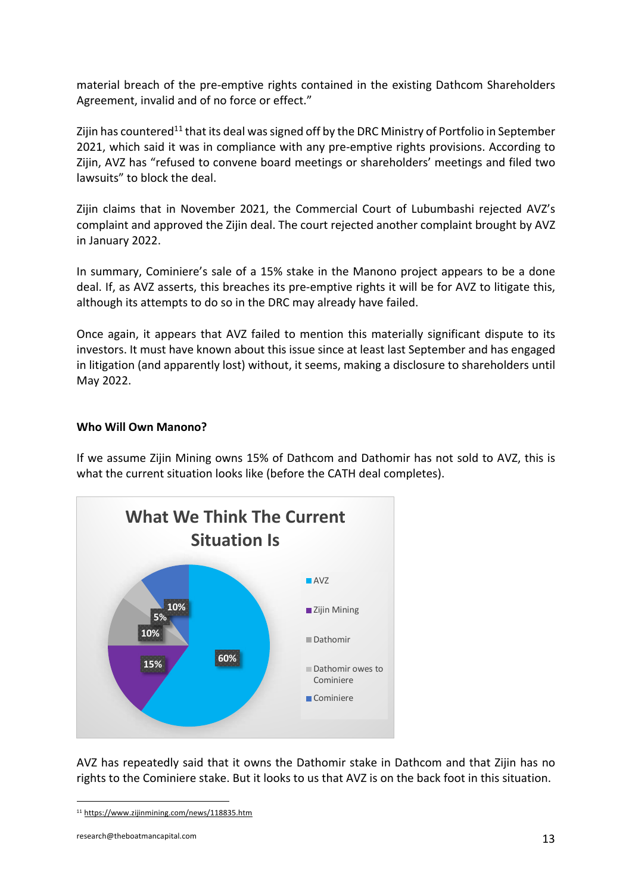material breach of the pre-emptive rights contained in the existing Dathcom Shareholders Agreement, invalid and of no force or effect."

Zijin has countered<sup>11</sup> that its deal was signed off by the DRC Ministry of Portfolio in September 2021, which said it was in compliance with any pre-emptive rights provisions. According to Zijin, AVZ has "refused to convene board meetings or shareholders' meetings and filed two lawsuits" to block the deal.

Zijin claims that in November 2021, the Commercial Court of Lubumbashi rejected AVZ's complaint and approved the Zijin deal. The court rejected another complaint brought by AVZ in January 2022.

In summary, Cominiere's sale of a 15% stake in the Manono project appears to be a done deal. If, as AVZ asserts, this breaches its pre-emptive rights it will be for AVZ to litigate this, although its attempts to do so in the DRC may already have failed.

Once again, it appears that AVZ failed to mention this materially significant dispute to its investors. It must have known about this issue since at least last September and has engaged in litigation (and apparently lost) without, it seems, making a disclosure to shareholders until May 2022.

#### **Who Will Own Manono?**

If we assume Zijin Mining owns 15% of Dathcom and Dathomir has not sold to AVZ, this is what the current situation looks like (before the CATH deal completes).



AVZ has repeatedly said that it owns the Dathomir stake in Dathcom and that Zijin has no rights to the Cominiere stake. But it looks to us that AVZ is on the back foot in this situation.

<sup>11</sup> https://www.zijinmining.com/news/118835.htm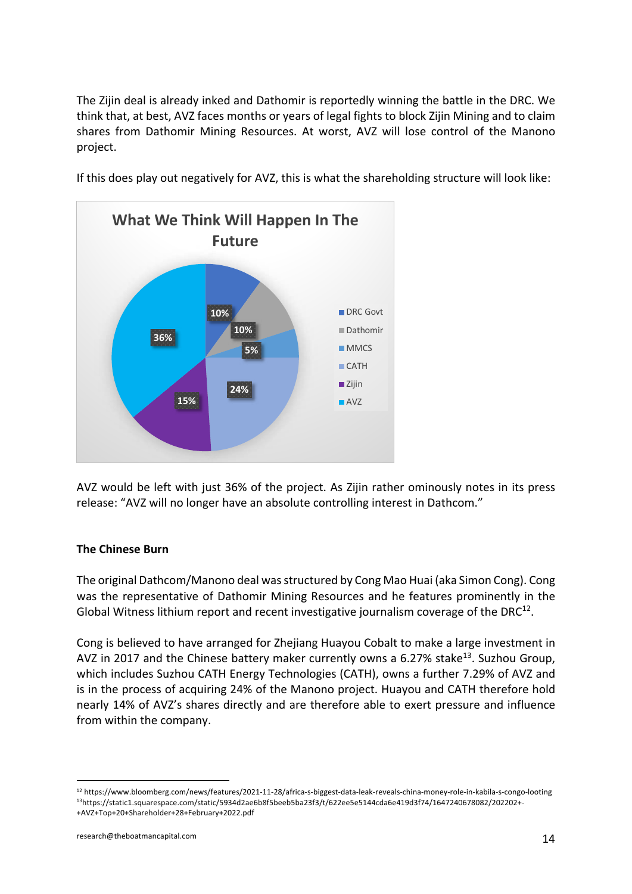The Zijin deal is already inked and Dathomir is reportedly winning the battle in the DRC. We think that, at best, AVZ faces months or years of legal fights to block Zijin Mining and to claim shares from Dathomir Mining Resources. At worst, AVZ will lose control of the Manono project.



If this does play out negatively for AVZ, this is what the shareholding structure will look like:

AVZ would be left with just 36% of the project. As Zijin rather ominously notes in its press release: "AVZ will no longer have an absolute controlling interest in Dathcom."

#### **The Chinese Burn**

The original Dathcom/Manono deal was structured by Cong Mao Huai (aka Simon Cong). Cong was the representative of Dathomir Mining Resources and he features prominently in the Global Witness lithium report and recent investigative journalism coverage of the DRC $^{12}$ .

Cong is believed to have arranged for Zhejiang Huayou Cobalt to make a large investment in AVZ in 2017 and the Chinese battery maker currently owns a 6.27% stake<sup>13</sup>. Suzhou Group, which includes Suzhou CATH Energy Technologies (CATH), owns a further 7.29% of AVZ and is in the process of acquiring 24% of the Manono project. Huayou and CATH therefore hold nearly 14% of AVZ's shares directly and are therefore able to exert pressure and influence from within the company.

<sup>12</sup> https://www.bloomberg.com/news/features/2021-11-28/africa-s-biggest-data-leak-reveals-china-money-role-in-kabila-s-congo-looting 13https://static1.squarespace.com/static/5934d2ae6b8f5beeb5ba23f3/t/622ee5e5144cda6e419d3f74/1647240678082/202202+- +AVZ+Top+20+Shareholder+28+February+2022.pdf